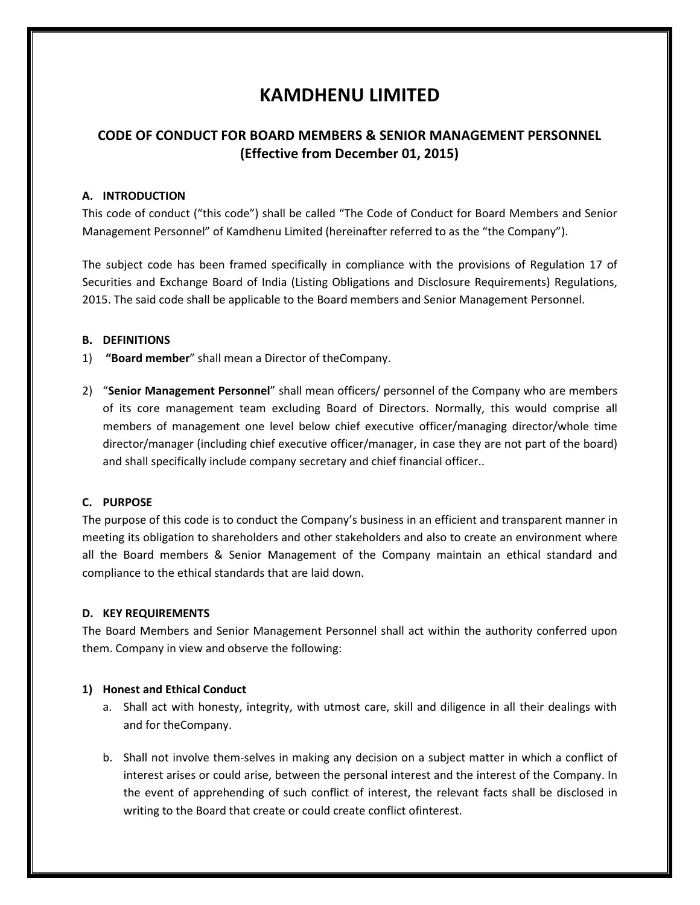# **KAMDHENU LIMITED**

## **CODE OF CONDUCT FOR BOARD MEMBERS & SENIOR MANAGEMENT PERSONNEL (Effective from December 01, 2015)**

#### **A. INTRODUCTION**

This code of conduct ("this code") shall be called "The Code of Conduct for Board Members and Senior Management Personnel" of Kamdhenu Limited (hereinafter referred to as the "the Company").

The subject code has been framed specifically in compliance with the provisions of Regulation 17 of Securities and Exchange Board of India (Listing Obligations and Disclosure Requirements) Regulations, 2015. The said code shall be applicable to the Board members and Senior Management Personnel.

#### **B. DEFINITIONS**

- 1) **"Board member**" shall mean a Director of theCompany.
- 2) "**Senior Management Personnel**" shall mean officers/ personnel of the Company who are members of its core management team excluding Board of Directors. Normally, this would comprise all members of management one level below chief executive officer/managing director/whole time director/manager (including chief executive officer/manager, in case they are not part of the board) and shall specifically include company secretary and chief financial officer..

#### **C. PURPOSE**

The purpose of this code is to conduct the Company's business in an efficient and transparent manner in meeting its obligation to shareholders and other stakeholders and also to create an environment where all the Board members & Senior Management of the Company maintain an ethical standard and compliance to the ethical standards that are laid down.

#### **D. KEY REQUIREMENTS**

The Board Members and Senior Management Personnel shall act within the authority conferred upon them. Company in view and observe the following:

#### **1) Honest and Ethical Conduct**

- a. Shall act with honesty, integrity, with utmost care, skill and diligence in all their dealings with and for theCompany.
- b. Shall not involve them-selves in making any decision on a subject matter in which a conflict of interest arises or could arise, between the personal interest and the interest of the Company. In the event of apprehending of such conflict of interest, the relevant facts shall be disclosed in writing to the Board that create or could create conflict ofinterest.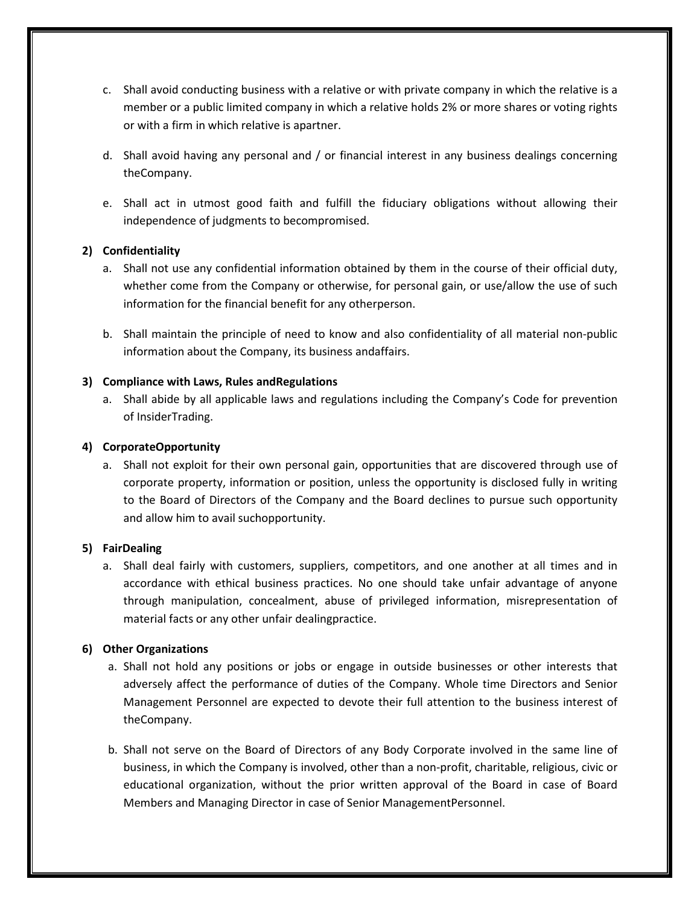- c. Shall avoid conducting business with a relative or with private company in which the relative is a member or a public limited company in which a relative holds 2% or more shares or voting rights or with a firm in which relative is apartner.
- d. Shall avoid having any personal and / or financial interest in any business dealings concerning theCompany.
- e. Shall act in utmost good faith and fulfill the fiduciary obligations without allowing their independence of judgments to becompromised.

### **2) Confidentiality**

- a. Shall not use any confidential information obtained by them in the course of their official duty, whether come from the Company or otherwise, for personal gain, or use/allow the use of such information for the financial benefit for any otherperson.
- b. Shall maintain the principle of need to know and also confidentiality of all material non-public information about the Company, its business andaffairs.

### **3) Compliance with Laws, Rules andRegulations**

a. Shall abide by all applicable laws and regulations including the Company's Code for prevention of InsiderTrading.

#### **4) CorporateOpportunity**

a. Shall not exploit for their own personal gain, opportunities that are discovered through use of corporate property, information or position, unless the opportunity is disclosed fully in writing to the Board of Directors of the Company and the Board declines to pursue such opportunity and allow him to avail suchopportunity.

#### **5) FairDealing**

a. Shall deal fairly with customers, suppliers, competitors, and one another at all times and in accordance with ethical business practices. No one should take unfair advantage of anyone through manipulation, concealment, abuse of privileged information, misrepresentation of material facts or any other unfair dealingpractice.

## **6) Other Organizations**

- a. Shall not hold any positions or jobs or engage in outside businesses or other interests that adversely affect the performance of duties of the Company. Whole time Directors and Senior Management Personnel are expected to devote their full attention to the business interest of theCompany.
- b. Shall not serve on the Board of Directors of any Body Corporate involved in the same line of business, in which the Company is involved, other than a non-profit, charitable, religious, civic or educational organization, without the prior written approval of the Board in case of Board Members and Managing Director in case of Senior ManagementPersonnel.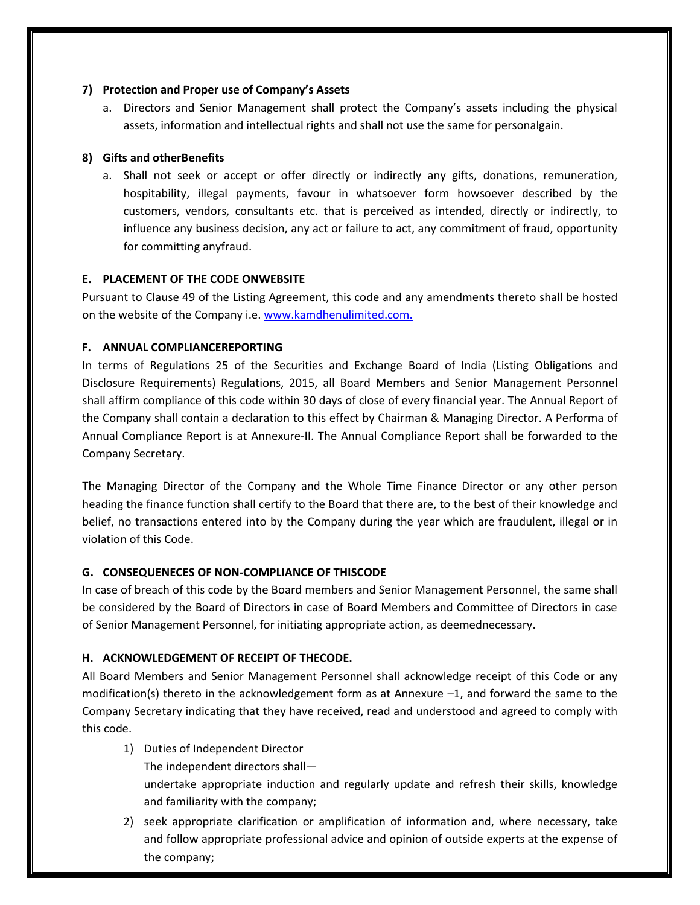#### **7) Protection and Proper use of Company's Assets**

a. Directors and Senior Management shall protect the Company's assets including the physical assets, information and intellectual rights and shall not use the same for personalgain.

## **8) Gifts and otherBenefits**

a. Shall not seek or accept or offer directly or indirectly any gifts, donations, remuneration, hospitability, illegal payments, favour in whatsoever form howsoever described by the customers, vendors, consultants etc. that is perceived as intended, directly or indirectly, to influence any business decision, any act or failure to act, any commitment of fraud, opportunity for committing anyfraud.

## **E. PLACEMENT OF THE CODE ONWEBSITE**

Pursuant to Clause 49 of the Listing Agreement, this code and any amendments thereto shall be hosted on the website of the Company i.e. www.kamdhenulimited.com.

## **F. ANNUAL COMPLIANCEREPORTING**

In terms of Regulations 25 of the Securities and Exchange Board of India (Listing Obligations and Disclosure Requirements) Regulations, 2015, all Board Members and Senior Management Personnel shall affirm compliance of this code within 30 days of close of every financial year. The Annual Report of the Company shall contain a declaration to this effect by Chairman & Managing Director. A Performa of Annual Compliance Report is at Annexure-II. The Annual Compliance Report shall be forwarded to the Company Secretary.

The Managing Director of the Company and the Whole Time Finance Director or any other person heading the finance function shall certify to the Board that there are, to the best of their knowledge and belief, no transactions entered into by the Company during the year which are fraudulent, illegal or in violation of this Code.

## **G. CONSEQUENECES OF NON-COMPLIANCE OF THISCODE**

In case of breach of this code by the Board members and Senior Management Personnel, the same shall be considered by the Board of Directors in case of Board Members and Committee of Directors in case of Senior Management Personnel, for initiating appropriate action, as deemednecessary.

## **H. ACKNOWLEDGEMENT OF RECEIPT OF THECODE.**

All Board Members and Senior Management Personnel shall acknowledge receipt of this Code or any modification(s) thereto in the acknowledgement form as at Annexure –1, and forward the same to the Company Secretary indicating that they have received, read and understood and agreed to comply with this code.

1) Duties of Independent Director

The independent directors shall—

undertake appropriate induction and regularly update and refresh their skills, knowledge and familiarity with the company;

2) seek appropriate clarification or amplification of information and, where necessary, take and follow appropriate professional advice and opinion of outside experts at the expense of the company;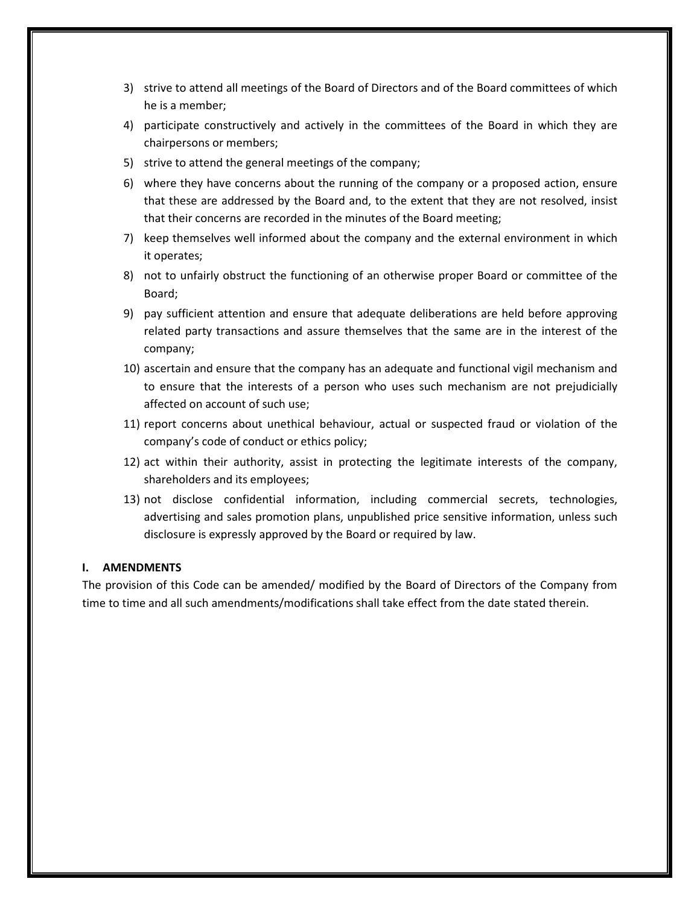- 3) strive to attend all meetings of the Board of Directors and of the Board committees of which he is a member;
- 4) participate constructively and actively in the committees of the Board in which they are chairpersons or members;
- 5) strive to attend the general meetings of the company;
- 6) where they have concerns about the running of the company or a proposed action, ensure that these are addressed by the Board and, to the extent that they are not resolved, insist that their concerns are recorded in the minutes of the Board meeting;
- 7) keep themselves well informed about the company and the external environment in which it operates;
- 8) not to unfairly obstruct the functioning of an otherwise proper Board or committee of the Board;
- 9) pay sufficient attention and ensure that adequate deliberations are held before approving related party transactions and assure themselves that the same are in the interest of the company;
- 10) ascertain and ensure that the company has an adequate and functional vigil mechanism and to ensure that the interests of a person who uses such mechanism are not prejudicially affected on account of such use;
- 11) report concerns about unethical behaviour, actual or suspected fraud or violation of the company's code of conduct or ethics policy;
- 12) act within their authority, assist in protecting the legitimate interests of the company, shareholders and its employees;
- 13) not disclose confidential information, including commercial secrets, technologies, advertising and sales promotion plans, unpublished price sensitive information, unless such disclosure is expressly approved by the Board or required by law.

#### **I. AMENDMENTS**

The provision of this Code can be amended/ modified by the Board of Directors of the Company from time to time and all such amendments/modifications shall take effect from the date stated therein.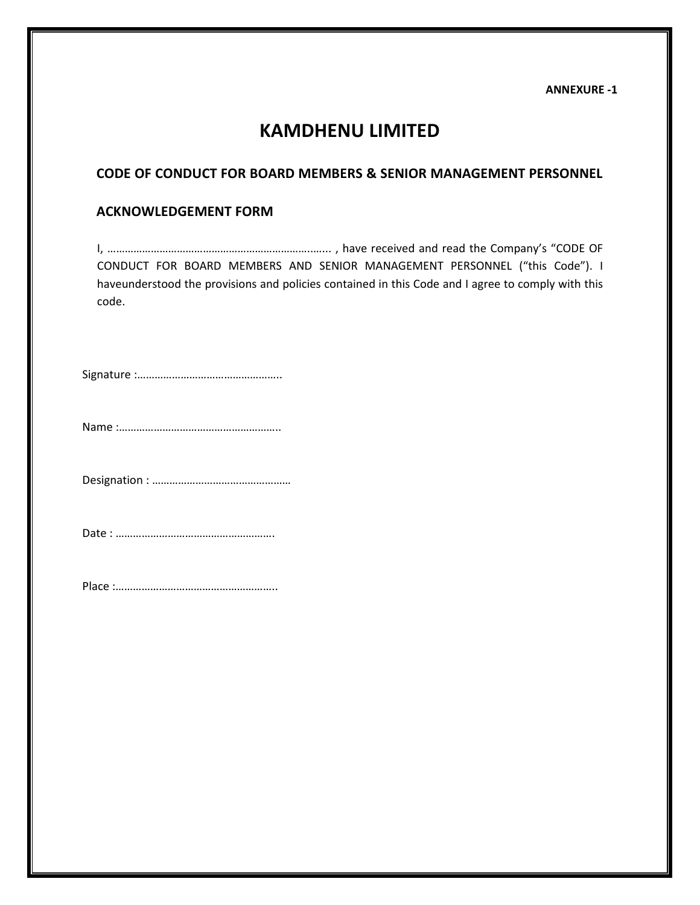**ANNEXURE -1** 

# **KAMDHENU LIMITED**

## **CODE OF CONDUCT FOR BOARD MEMBERS & SENIOR MANAGEMENT PERSONNEL**

## **ACKNOWLEDGEMENT FORM**

I, ……………………………………………………………..…... , have received and read the Company's "CODE OF CONDUCT FOR BOARD MEMBERS AND SENIOR MANAGEMENT PERSONNEL ("this Code"). I haveunderstood the provisions and policies contained in this Code and I agree to comply with this code.

Signature :…………………………………………..

Name :………………………………………………..

Designation : …………………………………………

Date : ……………………………………………….

Place :………………………………………………..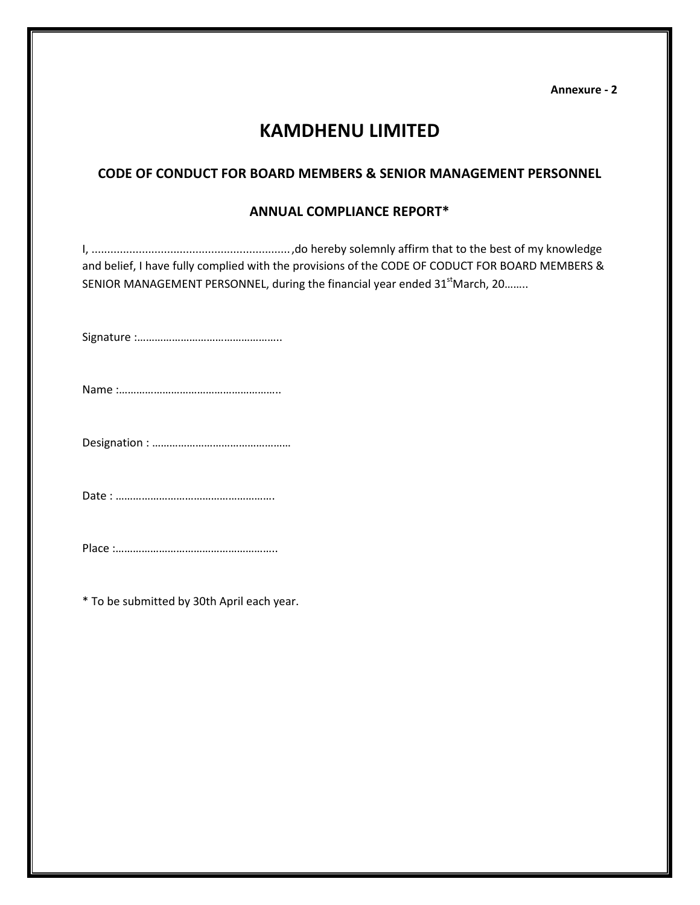**Annexure - 2** 

# **KAMDHENU LIMITED**

## **CODE OF CONDUCT FOR BOARD MEMBERS & SENIOR MANAGEMENT PERSONNEL**

## **ANNUAL COMPLIANCE REPORT\***

I, ............................................................... ,do hereby solemnly affirm that to the best of my knowledge and belief, I have fully complied with the provisions of the CODE OF CODUCT FOR BOARD MEMBERS & SENIOR MANAGEMENT PERSONNEL, during the financial year ended 31<sup>st</sup>March, 20........

Signature :…………………………………………..

Name :………………………………………………..

Designation : …………………………………………

Date : ……………………………………………….

Place :………………………………………………..

\* To be submitted by 30th April each year.